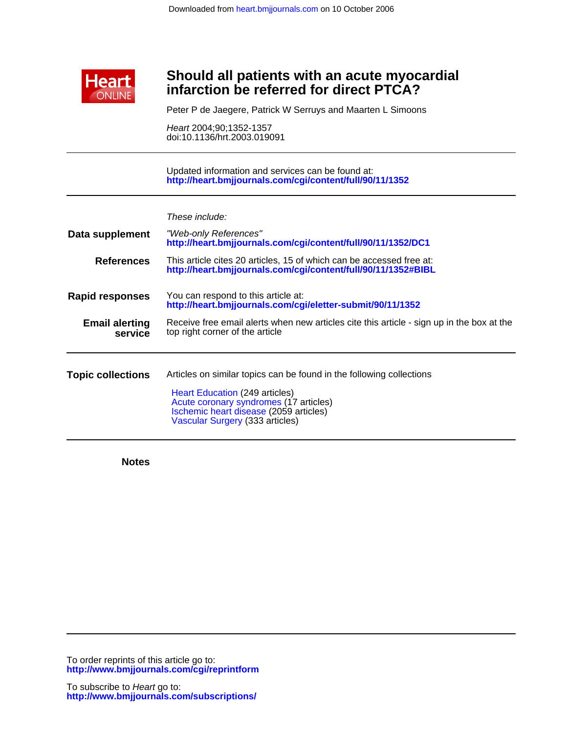

## **infarction be referred for direct PTCA? Should all patients with an acute myocardial**

Peter P de Jaegere, Patrick W Serruys and Maarten L Simoons

doi:10.1136/hrt.2003.019091 Heart 2004;90;1352-1357

**<http://heart.bmjjournals.com/cgi/content/full/90/11/1352>** Updated information and services can be found at:

| These include: |  |
|----------------|--|

| Data supplement                  | "Web-only References"<br>http://heart.bmjjournals.com/cgi/content/full/90/11/1352/DC1                                                                                                                                         |
|----------------------------------|-------------------------------------------------------------------------------------------------------------------------------------------------------------------------------------------------------------------------------|
| <b>References</b>                | This article cites 20 articles, 15 of which can be accessed free at:<br>http://heart.bmjjournals.com/cgi/content/full/90/11/1352#BIBL                                                                                         |
| <b>Rapid responses</b>           | You can respond to this article at:<br>http://heart.bmjjournals.com/cgi/eletter-submit/90/11/1352                                                                                                                             |
| <b>Email alerting</b><br>service | Receive free email alerts when new articles cite this article - sign up in the box at the<br>top right corner of the article                                                                                                  |
| <b>Topic collections</b>         | Articles on similar topics can be found in the following collections<br>Heart Education (249 articles)<br>Acute coronary syndromes (17 articles)<br>Ischemic heart disease (2059 articles)<br>Vascular Surgery (333 articles) |

**Notes**

**<http://www.bmjjournals.com/cgi/reprintform>** To order reprints of this article go to: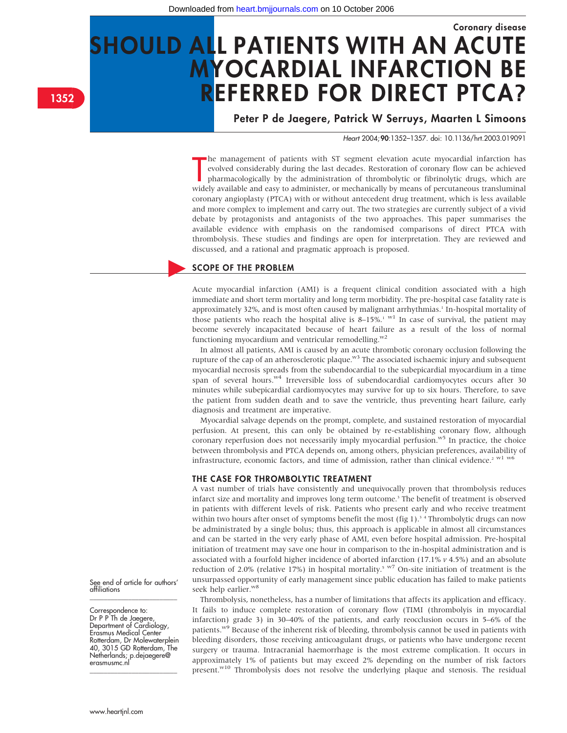# Coronary disease SHOULD ALL PATIENTS WITH AN ACUTE MYOCARDIAL INFARCTION BE REFERRED FOR DIRECT PTCA?

Peter P de Jaegere, Patrick W Serruys, Maarten L Simoons

Heart 2004;90:1352–1357. doi: 10.1136/hrt.2003.019091

The management of patients with ST segment elevation acute myocardial infarction has<br>evolved considerably during the last decades. Restoration of coronary flow can be achieved<br>pharmacologically by the administration of thr he management of patients with ST segment elevation acute myocardial infarction has evolved considerably during the last decades. Restoration of coronary flow can be achieved pharmacologically by the administration of thrombolytic or fibrinolytic drugs, which are coronary angioplasty (PTCA) with or without antecedent drug treatment, which is less available and more complex to implement and carry out. The two strategies are currently subject of a vivid debate by protagonists and antagonists of the two approaches. This paper summarises the available evidence with emphasis on the randomised comparisons of direct PTCA with thrombolysis. These studies and findings are open for interpretation. They are reviewed and discussed, and a rational and pragmatic approach is proposed.

#### SCOPE OF THE PROBLEM

Acute myocardial infarction (AMI) is a frequent clinical condition associated with a high immediate and short term mortality and long term morbidity. The pre-hospital case fatality rate is approximately 32%, and is most often caused by malignant arrhythmias.<sup>1</sup> In-hospital mortality of those patients who reach the hospital alive is 8–15%.<sup>1 w1</sup> In case of survival, the patient may become severely incapacitated because of heart failure as a result of the loss of normal functioning myocardium and ventricular remodelling. $w^2$ 

In almost all patients, AMI is caused by an acute thrombotic coronary occlusion following the rupture of the cap of an atherosclerotic plaque.<sup>w3</sup> The associated ischaemic injury and subsequent myocardial necrosis spreads from the subendocardial to the subepicardial myocardium in a time span of several hours.<sup>w4</sup> Irreversible loss of subendocardial cardiomyocytes occurs after 30 minutes while subepicardial cardiomyocytes may survive for up to six hours. Therefore, to save the patient from sudden death and to save the ventricle, thus preventing heart failure, early diagnosis and treatment are imperative.

Myocardial salvage depends on the prompt, complete, and sustained restoration of myocardial perfusion. At present, this can only be obtained by re-establishing coronary flow, although coronary reperfusion does not necessarily imply myocardial perfusion.<sup>w5</sup> In practice, the choice between thrombolysis and PTCA depends on, among others, physician preferences, availability of infrastructure, economic factors, and time of admission, rather than clinical evidence.<sup>2 w1</sup> w6

#### THE CASE FOR THROMBOLYTIC TREATMENT

A vast number of trials have consistently and unequivocally proven that thrombolysis reduces infarct size and mortality and improves long term outcome.<sup>3</sup> The benefit of treatment is observed in patients with different levels of risk. Patients who present early and who receive treatment within two hours after onset of symptoms benefit the most (fig 1).<sup>3</sup> <sup>4</sup> Thrombolytic drugs can now be administrated by a single bolus; thus, this approach is applicable in almost all circumstances and can be started in the very early phase of AMI, even before hospital admission. Pre-hospital initiation of treatment may save one hour in comparison to the in-hospital administration and is associated with a fourfold higher incidence of aborted infarction  $(17.1\% v 4.5\%)$  and an absolute reduction of 2.0% (relative 17%) in hospital mortality.<sup>5 w7</sup> On-site initiation of treatment is the unsurpassed opportunity of early management since public education has failed to make patients seek help earlier.<sup>w8</sup>

Thrombolysis, nonetheless, has a number of limitations that affects its application and efficacy. It fails to induce complete restoration of coronary flow (TIMI (thrombolyis in myocardial infarction) grade 3) in 30–40% of the patients, and early reocclusion occurs in 5–6% of the patients.<sup>w9</sup> Because of the inherent risk of bleeding, thrombolysis cannot be used in patients with bleeding disorders, those receiving anticoagulant drugs, or patients who have undergone recent surgery or trauma. Intracranial haemorrhage is the most extreme complication. It occurs in approximately 1% of patients but may exceed 2% depending on the number of risk factors present.<sup>w10</sup> Thrombolysis does not resolve the underlying plaque and stenosis. The residual

1352

See end of article for authors' affiliations \_\_\_\_\_\_\_\_\_\_\_\_\_\_\_\_\_\_\_\_\_\_\_\_\_

Correspondence to: Dr P P Th de Jaegere, Department of Cardiology, Erasmus Medical Center Rotterdam, Dr Molewaterplein 40, 3015 GD Rotterdam, The Netherlands; p.dejaegere@ erasmusmc.nl \_\_\_\_\_\_\_\_\_\_\_\_\_\_\_\_\_\_\_\_\_\_\_\_\_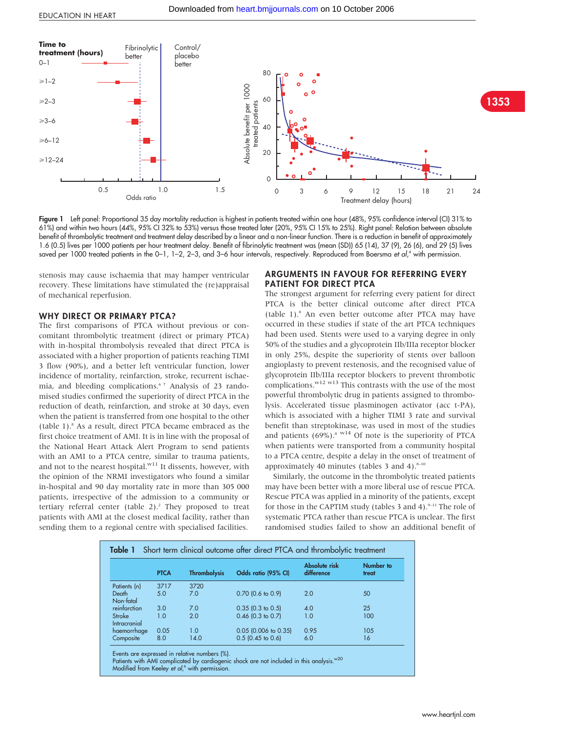

Figure 1 Left panel: Proportional 35 day mortality reduction is highest in patients treated within one hour (48%, 95% confidence interval (CI) 31% to 61%) and within two hours (44%, 95% CI 32% to 53%) versus those treated later (20%, 95% CI 15% to 25%). Right panel: Relation between absolute benefit of thrombolytic treatment and treatment delay described by a linear and a non-linear function. There is a reduction in benefit of approximately 1.6 (0.5) lives per 1000 patients per hour treatment delay. Benefit of fibrinolytic treatment was (mean (SD)) 65 (14), 37 (9), 26 (6), and 29 (5) lives saved per 1000 treated patients in the 0–1, 1–2, 2–3, and 3–6 hour intervals, respectively. Reproduced from Boersma *et al*,<sup>4</sup> with permission.

stenosis may cause ischaemia that may hamper ventricular recovery. These limitations have stimulated the (re)appraisal of mechanical reperfusion.

#### WHY DIRECT OR PRIMARY PTCA?

The first comparisons of PTCA without previous or concomitant thrombolytic treatment (direct or primary PTCA) with in-hospital thrombolysis revealed that direct PTCA is associated with a higher proportion of patients reaching TIMI 3 flow (90%), and a better left ventricular function, lower incidence of mortality, reinfarction, stroke, recurrent ischaemia, and bleeding complications.6 7 Analysis of 23 randomised studies confirmed the superiority of direct PTCA in the reduction of death, reinfarction, and stroke at 30 days, even when the patient is transferred from one hospital to the other (table 1).8 As a result, direct PTCA became embraced as the first choice treatment of AMI. It is in line with the proposal of the National Heart Attack Alert Program to send patients with an AMI to a PTCA centre, similar to trauma patients, and not to the nearest hospital. $w11}$  It dissents, however, with the opinion of the NRMI investigators who found a similar in-hospital and 90 day mortality rate in more than 305 000 patients, irrespective of the admission to a community or tertiary referral center (table  $2$ ).<sup>2</sup> They proposed to treat patients with AMI at the closest medical facility, rather than sending them to a regional centre with specialised facilities.

#### ARGUMENTS IN FAVOUR FOR REFERRING EVERY PATIENT FOR DIRECT PTCA

The strongest argument for referring every patient for direct PTCA is the better clinical outcome after direct PTCA (table 1).8 An even better outcome after PTCA may have occurred in these studies if state of the art PTCA techniques had been used. Stents were used to a varying degree in only 50% of the studies and a glycoprotein IIb/IIIa receptor blocker in only 25%, despite the superiority of stents over balloon angioplasty to prevent restenosis, and the recognised value of glycoprotein IIb/IIIa receptor blockers to prevent thrombotic complications. $w^{12}$  w<sup>13</sup> This contrasts with the use of the most powerful thrombolytic drug in patients assigned to thrombolysis. Accelerated tissue plasminogen activator (acc t-PA), which is associated with a higher TIMI 3 rate and survival benefit than streptokinase, was used in most of the studies and patients  $(69\%)$ .<sup>8 w14</sup> Of note is the superiority of PTCA when patients were transported from a community hospital to a PTCA centre, despite a delay in the onset of treatment of approximately 40 minutes (tables 3 and 4). $8-10$ 

Similarly, the outcome in the thrombolytic treated patients may have been better with a more liberal use of rescue PTCA. Rescue PTCA was applied in a minority of the patients, except for those in the CAPTIM study (tables 3 and 4). $9-11$  The role of systematic PTCA rather than rescue PTCA is unclear. The first randomised studies failed to show an additional benefit of

|                        | <b>PTCA</b> | <b>Thrombolysis</b> | Odds ratio (95% CI)    | Absolute risk<br>difference | Number to<br>treat |
|------------------------|-------------|---------------------|------------------------|-----------------------------|--------------------|
| Patients (n)           | 3717        | 3720                |                        |                             |                    |
| Death<br>Non-fatal     | 5.0         | 7.0                 | $0.70$ (0.6 to 0.9)    | 2.0                         | 50                 |
| reinfarction           | 3.0         | 7.0                 | $0.35$ (0.3 to 0.5)    | 4.0                         | 25                 |
| Stroke<br>Intracranial | 1.0         | 2.0                 | $0.46$ (0.3 to 0.7)    | 1.0                         | 100                |
| haemorrhage            | 0.05        | 1.0                 | $0.05$ (0.006 to 0.35) | 0.95                        | 105                |
| Composite              | 8.0         | 14.0                | $0.5$ (0.45 to 0.6)    | 6.0                         | 16                 |

Events are expressed in relative numbers (%).

Patients with AMI complicated by cardiogenic shock are not included in this analysis. <sup>w20</sup> Modified from Keeley et al,<sup>8</sup> with permission.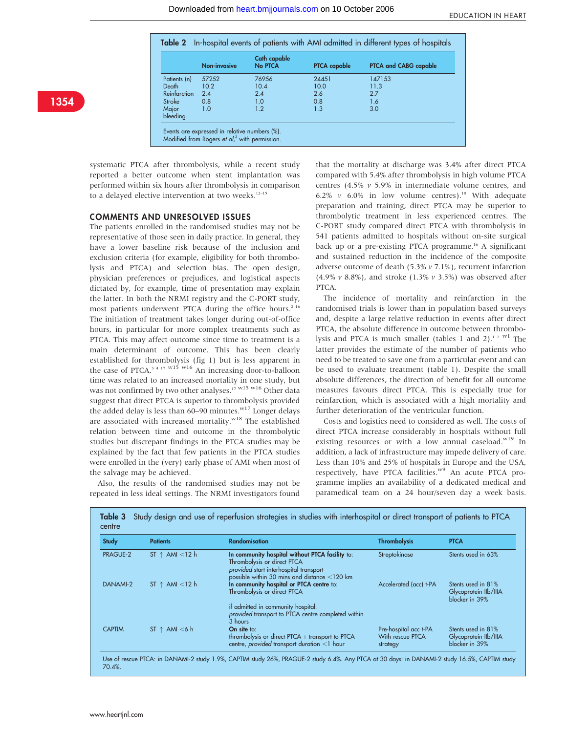|                   | Non-invasive | Cath capable<br>No PTCA | <b>PTCA</b> capable | PTCA and CABG capable |
|-------------------|--------------|-------------------------|---------------------|-----------------------|
| Patients (n)      | 57252        | 76956                   | 24451               | 147153                |
| Death             | 10.2         | 10.4                    | 10.0                | 11.3                  |
| Reinfarction      | 2.4          | 2.4                     | 2.6                 | 2.7                   |
| Stroke            | 0.8          | 1.0                     | 0.8                 | 1.6                   |
| Major<br>bleeding | 1.0          | 1.2                     | 1.3                 | 3.0                   |

systematic PTCA after thrombolysis, while a recent study reported a better outcome when stent implantation was performed within six hours after thrombolysis in comparison to a delayed elective intervention at two weeks.<sup>12-15</sup>

#### COMMENTS AND UNRESOLVED ISSUES

The patients enrolled in the randomised studies may not be representative of those seen in daily practice. In general, they have a lower baseline risk because of the inclusion and exclusion criteria (for example, eligibility for both thrombolysis and PTCA) and selection bias. The open design, physician preferences or prejudices, and logistical aspects dictated by, for example, time of presentation may explain the latter. In both the NRMI registry and the C-PORT study, most patients underwent PTCA during the office hours.<sup>2 16</sup> The initiation of treatment takes longer during out-of-office hours, in particular for more complex treatments such as PTCA. This may affect outcome since time to treatment is a main determinant of outcome. This has been clearly established for thrombolysis (fig 1) but is less apparent in the case of PTCA.<sup>3 4 17 w15</sup> w<sup>16</sup> An increasing door-to-balloon time was related to an increased mortality in one study, but was not confirmed by two other analyses.<sup>17 w15 w16</sup> Other data suggest that direct PTCA is superior to thrombolysis provided the added delay is less than 60–90 minutes.<sup>w17</sup> Longer delays are associated with increased mortality.<sup>w18</sup> The established relation between time and outcome in the thrombolytic studies but discrepant findings in the PTCA studies may be explained by the fact that few patients in the PTCA studies were enrolled in the (very) early phase of AMI when most of the salvage may be achieved.

Also, the results of the randomised studies may not be repeated in less ideal settings. The NRMI investigators found that the mortality at discharge was 3.4% after direct PTCA compared with 5.4% after thrombolysis in high volume PTCA centres (4.5%  $v$  5.9% in intermediate volume centres, and 6.2%  $v$  6.0% in low volume centres).<sup>18</sup> With adequate preparation and training, direct PTCA may be superior to thrombolytic treatment in less experienced centres. The C-PORT study compared direct PTCA with thrombolysis in 541 patients admitted to hospitals without on-site surgical back up or a pre-existing PTCA programme.<sup>16</sup> A significant and sustained reduction in the incidence of the composite adverse outcome of death (5.3% v 7.1%), recurrent infarction (4.9%  $\nu$  8.8%), and stroke (1.3%  $\nu$  3.5%) was observed after PTCA.

The incidence of mortality and reinfarction in the randomised trials is lower than in population based surveys and, despite a large relative reduction in events after direct PTCA, the absolute difference in outcome between thrombolysis and PTCA is much smaller (tables 1 and 2).<sup>12 w1</sup> The latter provides the estimate of the number of patients who need to be treated to save one from a particular event and can be used to evaluate treatment (table 1). Despite the small absolute differences, the direction of benefit for all outcome measures favours direct PTCA. This is especially true for reinfarction, which is associated with a high mortality and further deterioration of the ventricular function.

Costs and logistics need to considered as well. The costs of direct PTCA increase considerably in hospitals without full existing resources or with a low annual caseload.<sup>w19</sup> In addition, a lack of infrastructure may impede delivery of care. Less than 10% and 25% of hospitals in Europe and the USA, respectively, have PTCA facilities.<sup>w9</sup> An acute PTCA programme implies an availability of a dedicated medical and paramedical team on a 24 hour/seven day a week basis.

| <b>Study</b>    | <b>Patients</b>         | <b>Randomisation</b>                                                                                                                                                     | <b>Thrombolysis</b>                                   | <b>PTCA</b>                                                   |
|-----------------|-------------------------|--------------------------------------------------------------------------------------------------------------------------------------------------------------------------|-------------------------------------------------------|---------------------------------------------------------------|
| <b>PRAGUE-2</b> | ST $\uparrow$ AMI <12 h | In community hospital without PTCA facility to:<br>Thrombolysis or direct PTCA<br>provided start interhospital transport<br>possible within 30 mins and distance <120 km | Streptokinase                                         | Stents used in 63%                                            |
| DANAMI-2        | ST $\uparrow$ AMI <12 h | In community hospital or PTCA centre to:<br>Thrombolysis or direct PTCA                                                                                                  | Accelerated (acc) t-PA                                | Stents used in 81%<br>Glycoprotein Ilb/IIIA<br>blocker in 39% |
|                 |                         | if admitted in community hospital:<br>provided transport to PTCA centre completed within<br>3 hours                                                                      |                                                       |                                                               |
| <b>CAPTIM</b>   | ST $\uparrow$ AMI <6 h  | On site to:<br>thrombolysis or direct PTCA + transport to PTCA<br>centre, provided transport duration <1 hour                                                            | Pre-hospital acc t-PA<br>With rescue PTCA<br>strategy | Stents used in 81%<br>Glycoprotein Ilb/IIIA<br>blocker in 39% |

Use of rescue PTCA: in DANAMI-2 study 1.9%, CAPTIM study 26%, PRAGUE-2 study 6.4%. Any PTCA at 30 days: in DANAMI-2 study 16.5%, CAPTIM study 70.4%.

## 1354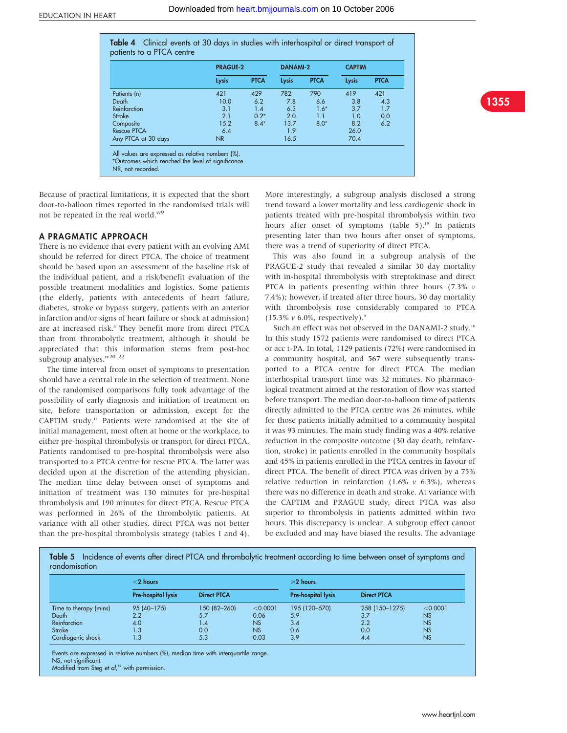|                     | <b>PRAGUE-2</b> |             | <b>DANAMI-2</b> |             | <b>CAPTIM</b> |             |
|---------------------|-----------------|-------------|-----------------|-------------|---------------|-------------|
|                     | <b>Lysis</b>    | <b>PTCA</b> | Lysis           | <b>PTCA</b> | Lysis         | <b>PTCA</b> |
| Patients (n)        | 421             | 429         | 782             | 790         | 419           | 421         |
| Death               | 10.0            | 6.2         | 7.8             | 6.6         | 3.8           | 4.3         |
| Reinfarction        | 3.1             | 1.4         | 6.3             | $1.6*$      | 3.7           | 1.7         |
| Stroke              | 2.1             | $0.2*$      | 2.0             | 1.1         | 1.0           | 0.0         |
| Composite           | 15.2            | $8.4*$      | 13.7            | $8.0*$      | 8.2           | 6.2         |
| <b>Rescue PTCA</b>  | 6.4             |             | 1.9             |             | 26.0          |             |
| Any PTCA at 30 days | NR.             |             | 16.5            |             | 70.4          |             |



Because of practical limitations, it is expected that the short door-to-balloon times reported in the randomised trials will not be repeated in the real world.w9

NR, not recorded.

\*Outcomes which reached the level of significance.

#### A PRAGMATIC APPROACH

There is no evidence that every patient with an evolving AMI should be referred for direct PTCA. The choice of treatment should be based upon an assessment of the baseline risk of the individual patient, and a risk/benefit evaluation of the possible treatment modalities and logistics. Some patients (the elderly, patients with antecedents of heart failure, diabetes, stroke or bypass surgery, patients with an anterior infarction and/or signs of heart failure or shock at admission) are at increased risk.<sup>6</sup> They benefit more from direct PTCA than from thrombolytic treatment, although it should be appreciated that this information stems from post-hoc subgroup analyses.<sup>w20-22</sup>

The time interval from onset of symptoms to presentation should have a central role in the selection of treatment. None of the randomised comparisons fully took advantage of the possibility of early diagnosis and initiation of treatment on site, before transportation or admission, except for the CAPTIM study.11 Patients were randomised at the site of initial management, most often at home or the workplace, to either pre-hospital thrombolysis or transport for direct PTCA. Patients randomised to pre-hospital thrombolysis were also transported to a PTCA centre for rescue PTCA. The latter was decided upon at the discretion of the attending physician. The median time delay between onset of symptoms and initiation of treatment was 130 minutes for pre-hospital thrombolysis and 190 minutes for direct PTCA. Rescue PTCA was performed in 26% of the thrombolytic patients. At variance with all other studies, direct PTCA was not better than the pre-hospital thrombolysis strategy (tables 1 and 4).

More interestingly, a subgroup analysis disclosed a strong trend toward a lower mortality and less cardiogenic shock in patients treated with pre-hospital thrombolysis within two hours after onset of symptoms (table 5).<sup>19</sup> In patients presenting later than two hours after onset of symptoms, there was a trend of superiority of direct PTCA.

This was also found in a subgroup analysis of the PRAGUE-2 study that revealed a similar 30 day mortality with in-hospital thrombolysis with streptokinase and direct PTCA in patients presenting within three hours (7.3%  $\nu$ 7.4%); however, if treated after three hours, 30 day mortality with thrombolysis rose considerably compared to PTCA  $(15.3\% \nu 6.0\%$ , respectively).<sup>9</sup>

Such an effect was not observed in the DANAMI-2 study.<sup>10</sup> In this study 1572 patients were randomised to direct PTCA or acc t-PA. In total, 1129 patients (72%) were randomised in a community hospital, and 567 were subsequently transported to a PTCA centre for direct PTCA. The median interhospital transport time was 32 minutes. No pharmacological treatment aimed at the restoration of flow was started before transport. The median door-to-balloon time of patients directly admitted to the PTCA centre was 26 minutes, while for those patients initially admitted to a community hospital it was 93 minutes. The main study finding was a 40% relative reduction in the composite outcome (30 day death, reinfarction, stroke) in patients enrolled in the community hospitals and 45% in patients enrolled in the PTCA centres in favour of direct PTCA. The benefit of direct PTCA was driven by a 75% relative reduction in reinfarction (1.6%  $\nu$  6.3%), whereas there was no difference in death and stroke. At variance with the CAPTIM and PRAGUE study, direct PTCA was also superior to thrombolysis in patients admitted within two hours. This discrepancy is unclear. A subgroup effect cannot be excluded and may have biased the results. The advantage

Table 5 Incidence of events after direct PTCA and thrombolytic treatment according to time between onset of symptoms and randomisation

|                        | $<$ 2 hours        |                    |           | $\geq 2$ hours     |                    |           |
|------------------------|--------------------|--------------------|-----------|--------------------|--------------------|-----------|
|                        | Pre-hospital lysis | <b>Direct PTCA</b> |           | Pre-hospital lysis | <b>Direct PTCA</b> |           |
| Time to therapy (mins) | 95 (40-175)        | 150 (82-260)       | < 0.0001  | 195 (120-570)      | 258 (150-1275)     | < 0.0001  |
| Death                  | 2.2                | 5.7                | 0.06      | 5.9                | 3.7                | <b>NS</b> |
| Reinfarction           | 4.0                | 4. ا               | <b>NS</b> | 3.4                | 2.2                | NS        |
| Stroke                 | 1.3                | 0.0                | NS        | 0.6                | 0.0                | <b>NS</b> |
| Cardiogenic shock      | 1.3                | 5.3                | 0.03      | 3.9                | 4.4                | NS        |

Events are expressed in relative numbers (%), median time with interquartile range. NS, not significant. Modified from Steg et al, <sup>19</sup> with permission.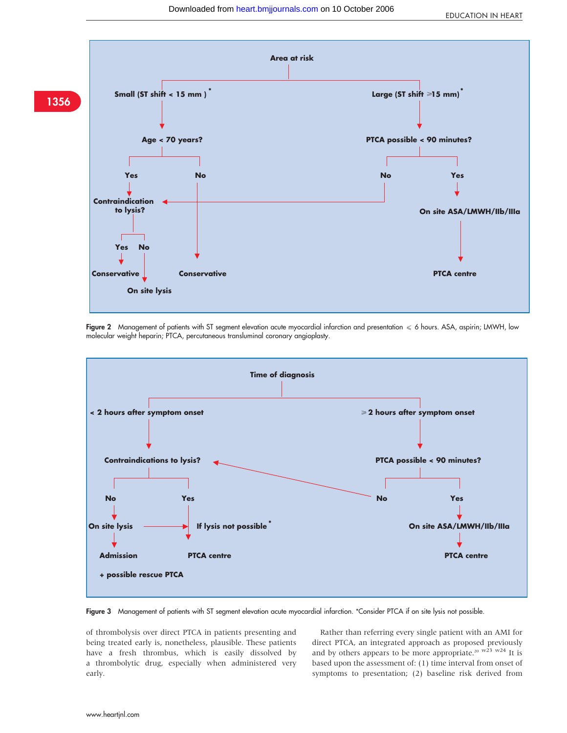

Figure 2 Management of patients with ST segment elevation acute myocardial infarction and presentation  $\leq 6$  hours. ASA, aspirin; LMWH, low molecular weight heparin; PTCA, percutaneous transluminal coronary angioplasty.



Figure 3 Management of patients with ST segment elevation acute myocardial infarction. \*Consider PTCA if on site lysis not possible.

of thrombolysis over direct PTCA in patients presenting and being treated early is, nonetheless, plausible. These patients have a fresh thrombus, which is easily dissolved by a thrombolytic drug, especially when administered very early.

Rather than referring every single patient with an AMI for direct PTCA, an integrated approach as proposed previously and by others appears to be more appropriate.<sup>20 w23 w24</sup> It is based upon the assessment of: (1) time interval from onset of symptoms to presentation; (2) baseline risk derived from